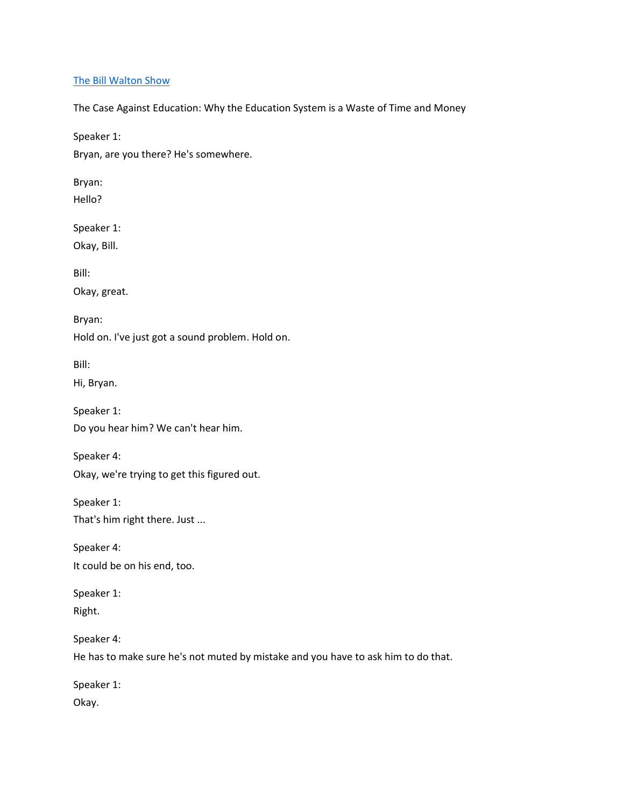### [The Bill Walton Show](https://thebillwaltonshow.com/)

The Case Against Education: Why the Education System is a Waste of Time and Money

Speaker 1:

Bryan, are you there? He's somewhere.

Bryan:

Hello?

Speaker 1:

Okay, Bill.

Bill:

Okay, great.

Bryan:

Hold on. I've just got a sound problem. Hold on.

Bill:

Hi, Bryan.

Speaker 1: Do you hear him? We can't hear him.

Speaker 4: Okay, we're trying to get this figured out.

Speaker 1: That's him right there. Just ...

Speaker 4: It could be on his end, too.

Speaker 1: Right.

Speaker 4: He has to make sure he's not muted by mistake and you have to ask him to do that.

Speaker 1: Okay.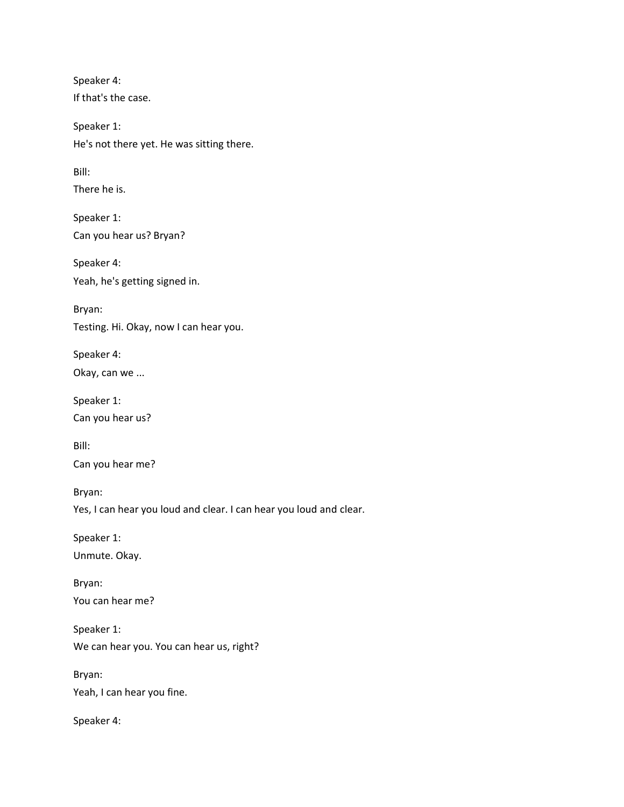Speaker 4: If that's the case.

Speaker 1: He's not there yet. He was sitting there.

Bill:

There he is.

Speaker 1: Can you hear us? Bryan?

Speaker 4: Yeah, he's getting signed in.

Bryan: Testing. Hi. Okay, now I can hear you.

Speaker 4: Okay, can we ...

Speaker 1: Can you hear us?

Bill: Can you hear me?

Bryan: Yes, I can hear you loud and clear. I can hear you loud and clear.

Speaker 1:

Unmute. Okay.

Bryan: You can hear me?

Speaker 1: We can hear you. You can hear us, right?

Bryan: Yeah, I can hear you fine.

Speaker 4: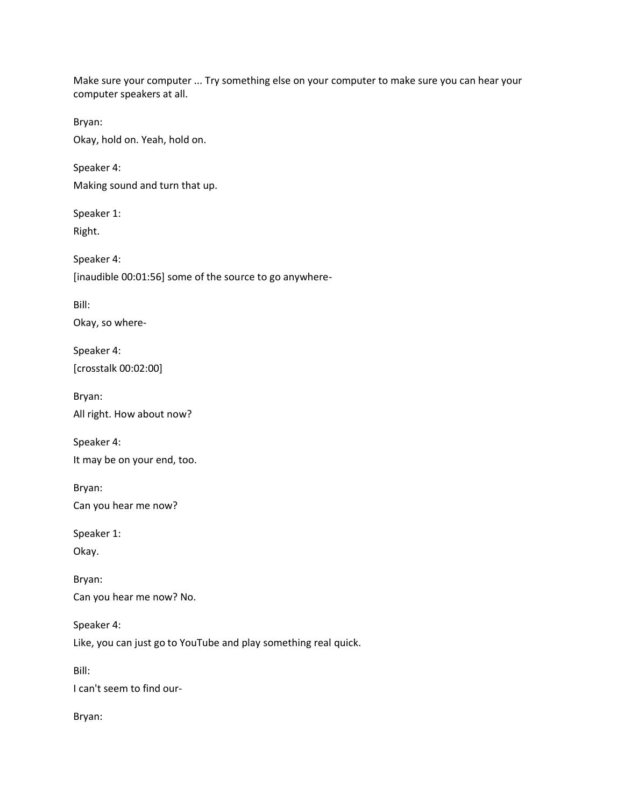Make sure your computer ... Try something else on your computer to make sure you can hear your computer speakers at all.

Bryan:

Okay, hold on. Yeah, hold on.

Speaker 4: Making sound and turn that up.

Speaker 1: Right.

Speaker 4: [inaudible 00:01:56] some of the source to go anywhere-

Bill: Okay, so where-

Speaker 4: [crosstalk 00:02:00]

Bryan: All right. How about now?

Speaker 4: It may be on your end, too.

Bryan: Can you hear me now?

Speaker 1:

Okay.

Bryan: Can you hear me now? No.

Speaker 4: Like, you can just go to YouTube and play something real quick.

Bill:

I can't seem to find our-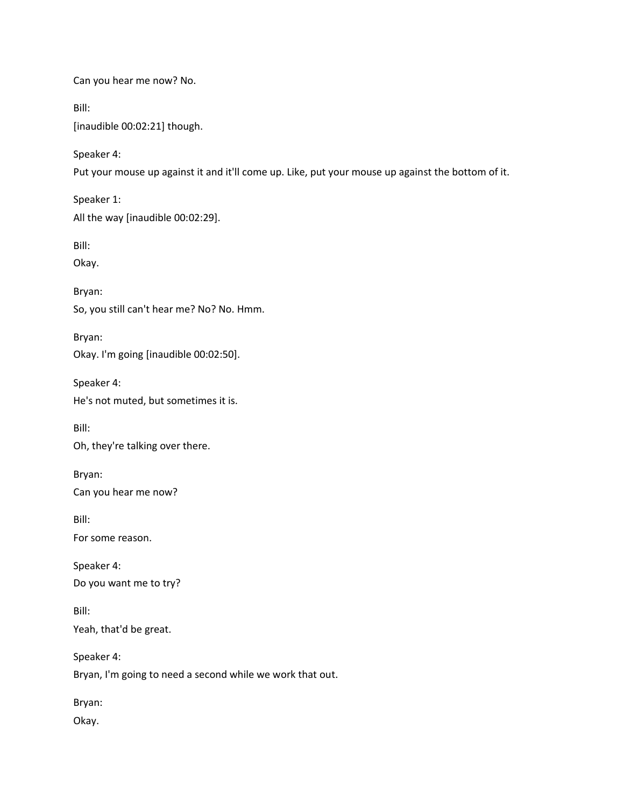Can you hear me now? No.

Bill:

[inaudible 00:02:21] though.

Speaker 4:

Put your mouse up against it and it'll come up. Like, put your mouse up against the bottom of it.

Speaker 1: All the way [inaudible 00:02:29].

Bill:

Okay.

Bryan: So, you still can't hear me? No? No. Hmm.

Bryan: Okay. I'm going [inaudible 00:02:50].

Speaker 4: He's not muted, but sometimes it is.

Bill:

Oh, they're talking over there.

Bryan:

Can you hear me now?

Bill:

For some reason.

Speaker 4: Do you want me to try?

Bill: Yeah, that'd be great.

Speaker 4:

Bryan, I'm going to need a second while we work that out.

Bryan:

Okay.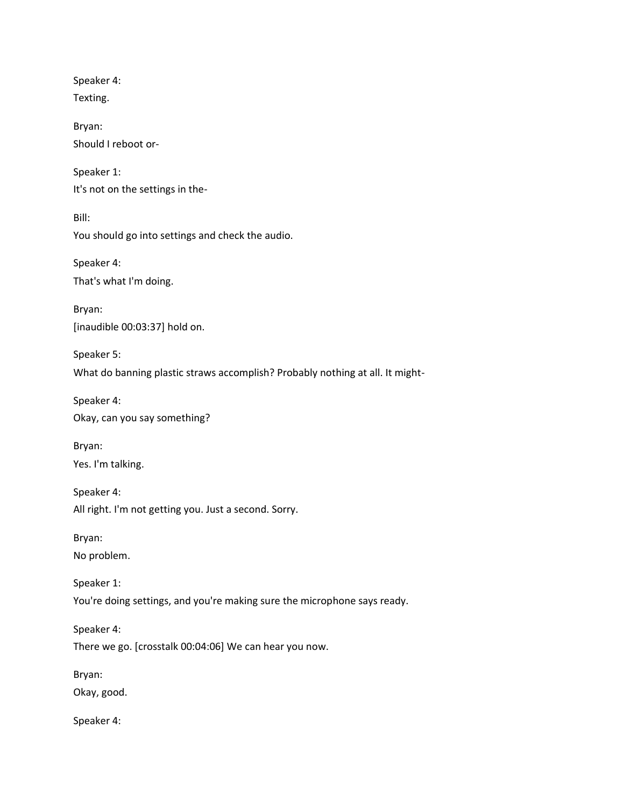Speaker 4: Texting. Bryan: Should I reboot or-Speaker 1: It's not on the settings in the-Bill: You should go into settings and check the audio. Speaker 4: That's what I'm doing. Bryan: [inaudible 00:03:37] hold on. Speaker 5: What do banning plastic straws accomplish? Probably nothing at all. It might-Speaker 4: Okay, can you say something? Bryan: Yes. I'm talking. Speaker 4: All right. I'm not getting you. Just a second. Sorry. Bryan: No problem. Speaker 1: You're doing settings, and you're making sure the microphone says ready. Speaker 4: There we go. [crosstalk 00:04:06] We can hear you now. Bryan: Okay, good. Speaker 4: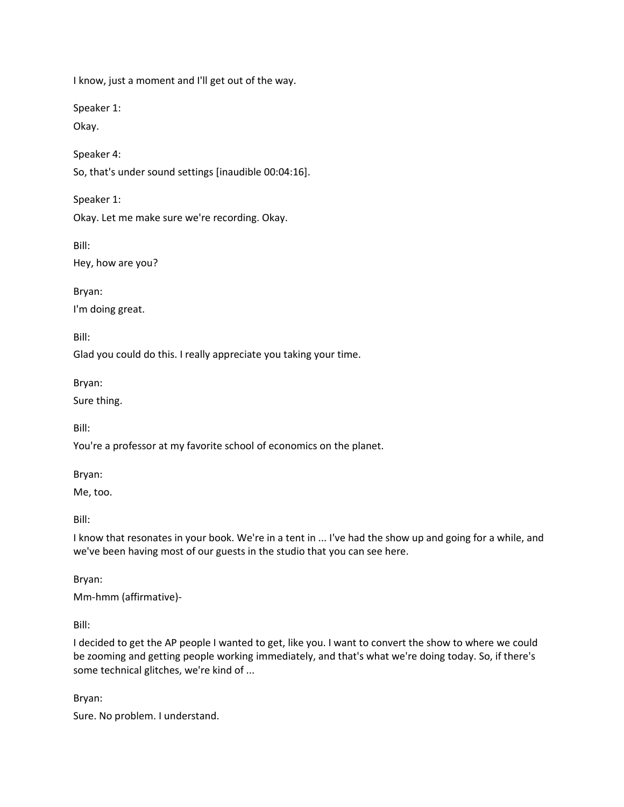I know, just a moment and I'll get out of the way.

Speaker 1:

Okay.

Speaker 4:

So, that's under sound settings [inaudible 00:04:16].

Speaker 1:

Okay. Let me make sure we're recording. Okay.

Bill:

Hey, how are you?

Bryan:

I'm doing great.

Bill:

Glad you could do this. I really appreciate you taking your time.

Bryan:

Sure thing.

Bill:

You're a professor at my favorite school of economics on the planet.

Bryan:

Me, too.

Bill:

I know that resonates in your book. We're in a tent in ... I've had the show up and going for a while, and we've been having most of our guests in the studio that you can see here.

Bryan:

Mm-hmm (affirmative)-

Bill:

I decided to get the AP people I wanted to get, like you. I want to convert the show to where we could be zooming and getting people working immediately, and that's what we're doing today. So, if there's some technical glitches, we're kind of ...

Bryan:

Sure. No problem. I understand.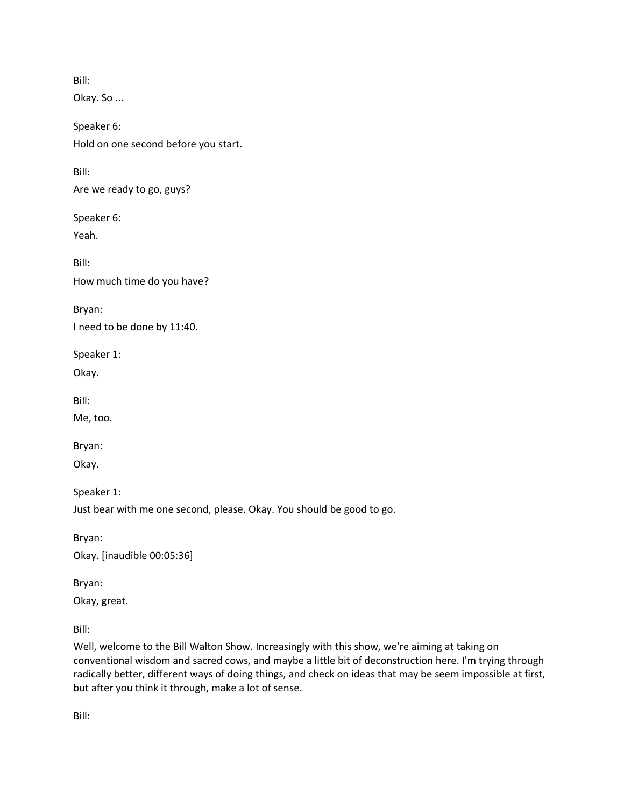Okay. So ...

Speaker 6: Hold on one second before you start.

Bill:

Are we ready to go, guys?

Speaker 6:

Yeah.

Bill: How much time do you have?

Bryan: I need to be done by 11:40.

Speaker 1:

Okay.

Bill:

Me, too.

Bryan:

Okay.

Speaker 1:

Just bear with me one second, please. Okay. You should be good to go.

Bryan: Okay. [inaudible 00:05:36]

Bryan:

Okay, great.

Bill:

Well, welcome to the Bill Walton Show. Increasingly with this show, we're aiming at taking on conventional wisdom and sacred cows, and maybe a little bit of deconstruction here. I'm trying through radically better, different ways of doing things, and check on ideas that may be seem impossible at first, but after you think it through, make a lot of sense.

Bill: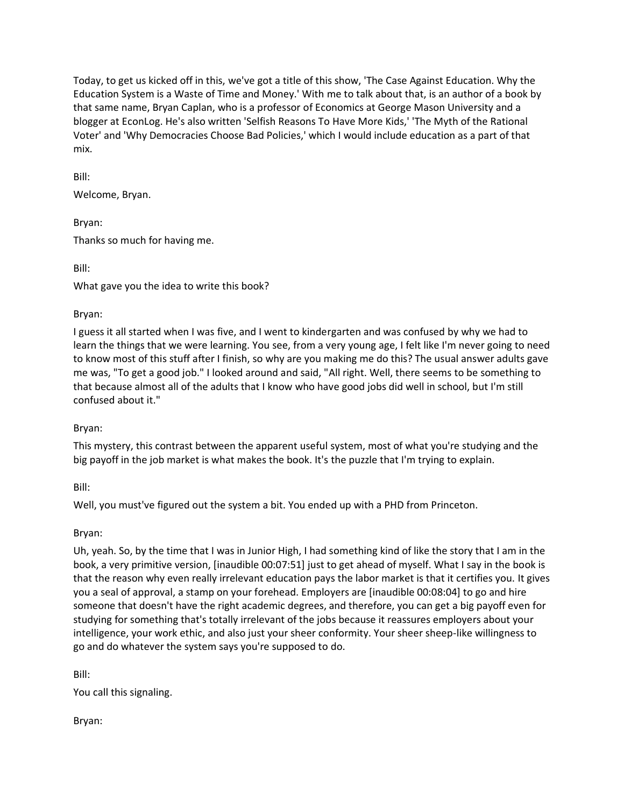Today, to get us kicked off in this, we've got a title of this show, 'The Case Against Education. Why the Education System is a Waste of Time and Money.' With me to talk about that, is an author of a book by that same name, Bryan Caplan, who is a professor of Economics at George Mason University and a blogger at EconLog. He's also written 'Selfish Reasons To Have More Kids,' 'The Myth of the Rational Voter' and 'Why Democracies Choose Bad Policies,' which I would include education as a part of that mix.

Bill:

Welcome, Bryan.

Bryan: Thanks so much for having me.

Bill:

What gave you the idea to write this book?

### Bryan:

I guess it all started when I was five, and I went to kindergarten and was confused by why we had to learn the things that we were learning. You see, from a very young age, I felt like I'm never going to need to know most of this stuff after I finish, so why are you making me do this? The usual answer adults gave me was, "To get a good job." I looked around and said, "All right. Well, there seems to be something to that because almost all of the adults that I know who have good jobs did well in school, but I'm still confused about it."

# Bryan:

This mystery, this contrast between the apparent useful system, most of what you're studying and the big payoff in the job market is what makes the book. It's the puzzle that I'm trying to explain.

Bill:

Well, you must've figured out the system a bit. You ended up with a PHD from Princeton.

Bryan:

Uh, yeah. So, by the time that I was in Junior High, I had something kind of like the story that I am in the book, a very primitive version, [inaudible 00:07:51] just to get ahead of myself. What I say in the book is that the reason why even really irrelevant education pays the labor market is that it certifies you. It gives you a seal of approval, a stamp on your forehead. Employers are [inaudible 00:08:04] to go and hire someone that doesn't have the right academic degrees, and therefore, you can get a big payoff even for studying for something that's totally irrelevant of the jobs because it reassures employers about your intelligence, your work ethic, and also just your sheer conformity. Your sheer sheep-like willingness to go and do whatever the system says you're supposed to do.

Bill:

You call this signaling.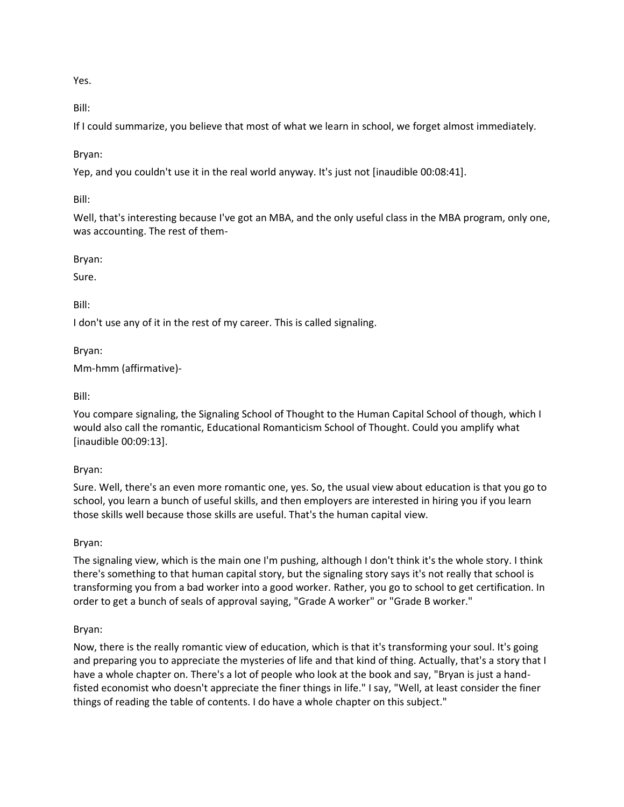Yes.

Bill:

If I could summarize, you believe that most of what we learn in school, we forget almost immediately.

Bryan:

Yep, and you couldn't use it in the real world anyway. It's just not [inaudible 00:08:41].

Bill:

Well, that's interesting because I've got an MBA, and the only useful class in the MBA program, only one, was accounting. The rest of them-

Bryan:

Sure.

Bill:

I don't use any of it in the rest of my career. This is called signaling.

Bryan:

Mm-hmm (affirmative)-

Bill:

You compare signaling, the Signaling School of Thought to the Human Capital School of though, which I would also call the romantic, Educational Romanticism School of Thought. Could you amplify what [inaudible 00:09:13].

### Bryan:

Sure. Well, there's an even more romantic one, yes. So, the usual view about education is that you go to school, you learn a bunch of useful skills, and then employers are interested in hiring you if you learn those skills well because those skills are useful. That's the human capital view.

Bryan:

The signaling view, which is the main one I'm pushing, although I don't think it's the whole story. I think there's something to that human capital story, but the signaling story says it's not really that school is transforming you from a bad worker into a good worker. Rather, you go to school to get certification. In order to get a bunch of seals of approval saying, "Grade A worker" or "Grade B worker."

### Bryan:

Now, there is the really romantic view of education, which is that it's transforming your soul. It's going and preparing you to appreciate the mysteries of life and that kind of thing. Actually, that's a story that I have a whole chapter on. There's a lot of people who look at the book and say, "Bryan is just a handfisted economist who doesn't appreciate the finer things in life." I say, "Well, at least consider the finer things of reading the table of contents. I do have a whole chapter on this subject."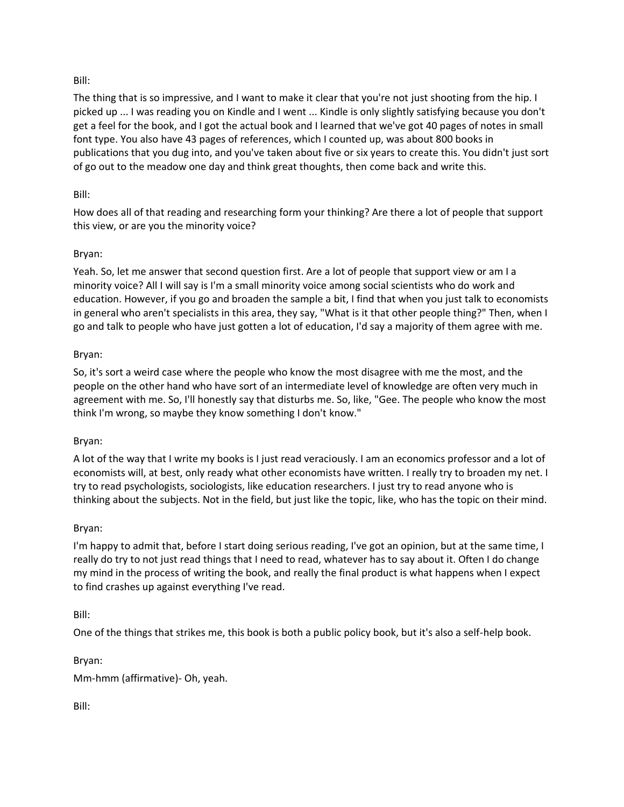The thing that is so impressive, and I want to make it clear that you're not just shooting from the hip. I picked up ... I was reading you on Kindle and I went ... Kindle is only slightly satisfying because you don't get a feel for the book, and I got the actual book and I learned that we've got 40 pages of notes in small font type. You also have 43 pages of references, which I counted up, was about 800 books in publications that you dug into, and you've taken about five or six years to create this. You didn't just sort of go out to the meadow one day and think great thoughts, then come back and write this.

### Bill:

How does all of that reading and researching form your thinking? Are there a lot of people that support this view, or are you the minority voice?

### Bryan:

Yeah. So, let me answer that second question first. Are a lot of people that support view or am I a minority voice? All I will say is I'm a small minority voice among social scientists who do work and education. However, if you go and broaden the sample a bit, I find that when you just talk to economists in general who aren't specialists in this area, they say, "What is it that other people thing?" Then, when I go and talk to people who have just gotten a lot of education, I'd say a majority of them agree with me.

### Bryan:

So, it's sort a weird case where the people who know the most disagree with me the most, and the people on the other hand who have sort of an intermediate level of knowledge are often very much in agreement with me. So, I'll honestly say that disturbs me. So, like, "Gee. The people who know the most think I'm wrong, so maybe they know something I don't know."

### Bryan:

A lot of the way that I write my books is I just read veraciously. I am an economics professor and a lot of economists will, at best, only ready what other economists have written. I really try to broaden my net. I try to read psychologists, sociologists, like education researchers. I just try to read anyone who is thinking about the subjects. Not in the field, but just like the topic, like, who has the topic on their mind.

### Bryan:

I'm happy to admit that, before I start doing serious reading, I've got an opinion, but at the same time, I really do try to not just read things that I need to read, whatever has to say about it. Often I do change my mind in the process of writing the book, and really the final product is what happens when I expect to find crashes up against everything I've read.

### Bill:

One of the things that strikes me, this book is both a public policy book, but it's also a self-help book.

Bryan:

Mm-hmm (affirmative)- Oh, yeah.

Bill: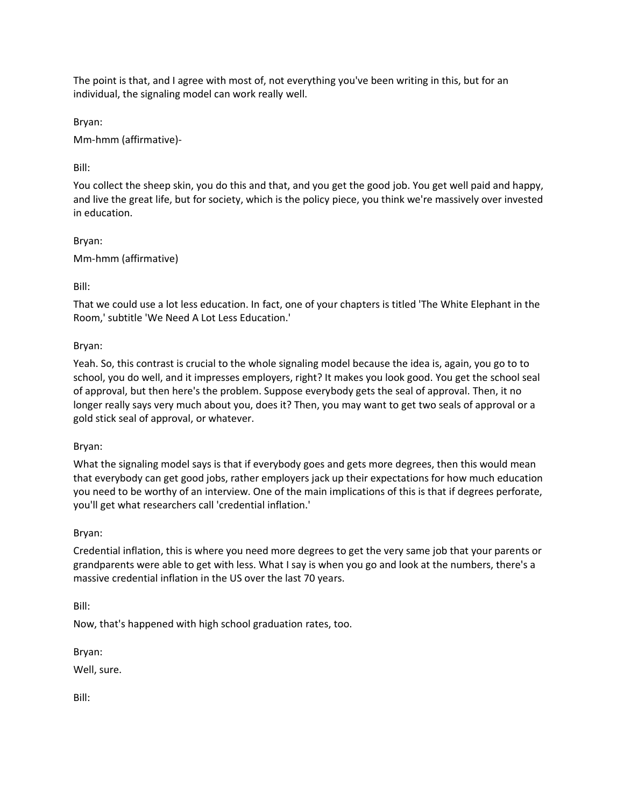The point is that, and I agree with most of, not everything you've been writing in this, but for an individual, the signaling model can work really well.

Bryan:

Mm-hmm (affirmative)-

# Bill:

You collect the sheep skin, you do this and that, and you get the good job. You get well paid and happy, and live the great life, but for society, which is the policy piece, you think we're massively over invested in education.

Bryan: Mm-hmm (affirmative)

Bill:

That we could use a lot less education. In fact, one of your chapters is titled 'The White Elephant in the Room,' subtitle 'We Need A Lot Less Education.'

Bryan:

Yeah. So, this contrast is crucial to the whole signaling model because the idea is, again, you go to to school, you do well, and it impresses employers, right? It makes you look good. You get the school seal of approval, but then here's the problem. Suppose everybody gets the seal of approval. Then, it no longer really says very much about you, does it? Then, you may want to get two seals of approval or a gold stick seal of approval, or whatever.

Bryan:

What the signaling model says is that if everybody goes and gets more degrees, then this would mean that everybody can get good jobs, rather employers jack up their expectations for how much education you need to be worthy of an interview. One of the main implications of this is that if degrees perforate, you'll get what researchers call 'credential inflation.'

# Bryan:

Credential inflation, this is where you need more degrees to get the very same job that your parents or grandparents were able to get with less. What I say is when you go and look at the numbers, there's a massive credential inflation in the US over the last 70 years.

Bill:

Now, that's happened with high school graduation rates, too.

Bryan:

Well, sure.

Bill: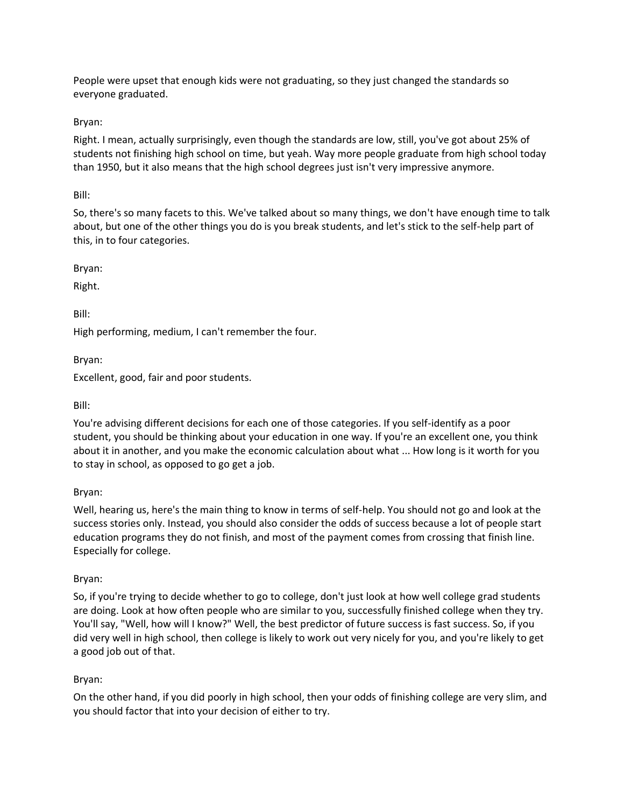People were upset that enough kids were not graduating, so they just changed the standards so everyone graduated.

## Bryan:

Right. I mean, actually surprisingly, even though the standards are low, still, you've got about 25% of students not finishing high school on time, but yeah. Way more people graduate from high school today than 1950, but it also means that the high school degrees just isn't very impressive anymore.

### Bill:

So, there's so many facets to this. We've talked about so many things, we don't have enough time to talk about, but one of the other things you do is you break students, and let's stick to the self-help part of this, in to four categories.

Bryan:

Right.

Bill:

High performing, medium, I can't remember the four.

Bryan:

Excellent, good, fair and poor students.

Bill:

You're advising different decisions for each one of those categories. If you self-identify as a poor student, you should be thinking about your education in one way. If you're an excellent one, you think about it in another, and you make the economic calculation about what ... How long is it worth for you to stay in school, as opposed to go get a job.

### Bryan:

Well, hearing us, here's the main thing to know in terms of self-help. You should not go and look at the success stories only. Instead, you should also consider the odds of success because a lot of people start education programs they do not finish, and most of the payment comes from crossing that finish line. Especially for college.

Bryan:

So, if you're trying to decide whether to go to college, don't just look at how well college grad students are doing. Look at how often people who are similar to you, successfully finished college when they try. You'll say, "Well, how will I know?" Well, the best predictor of future success is fast success. So, if you did very well in high school, then college is likely to work out very nicely for you, and you're likely to get a good job out of that.

# Bryan:

On the other hand, if you did poorly in high school, then your odds of finishing college are very slim, and you should factor that into your decision of either to try.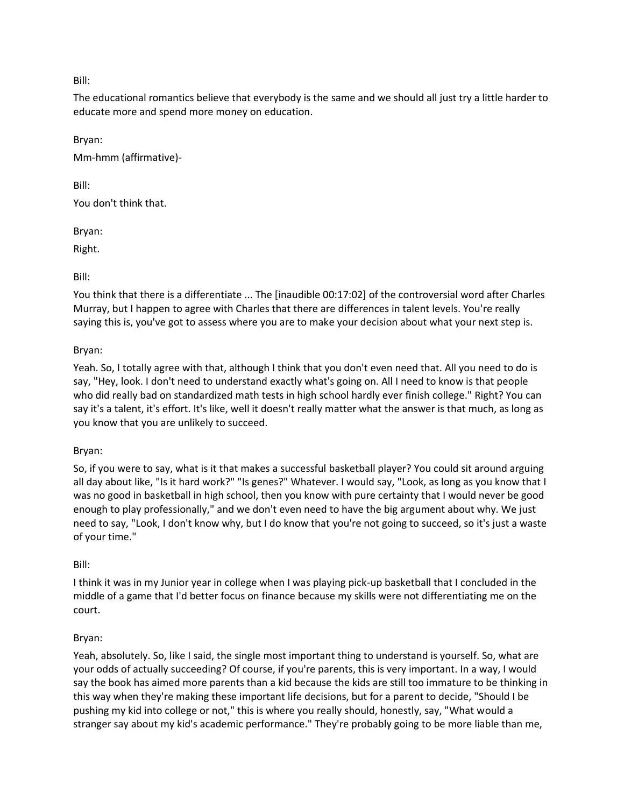The educational romantics believe that everybody is the same and we should all just try a little harder to educate more and spend more money on education.

Bryan: Mm-hmm (affirmative)-

Bill:

You don't think that.

Bryan:

Right.

Bill:

You think that there is a differentiate ... The [inaudible 00:17:02] of the controversial word after Charles Murray, but I happen to agree with Charles that there are differences in talent levels. You're really saying this is, you've got to assess where you are to make your decision about what your next step is.

## Bryan:

Yeah. So, I totally agree with that, although I think that you don't even need that. All you need to do is say, "Hey, look. I don't need to understand exactly what's going on. All I need to know is that people who did really bad on standardized math tests in high school hardly ever finish college." Right? You can say it's a talent, it's effort. It's like, well it doesn't really matter what the answer is that much, as long as you know that you are unlikely to succeed.

### Bryan:

So, if you were to say, what is it that makes a successful basketball player? You could sit around arguing all day about like, "Is it hard work?" "Is genes?" Whatever. I would say, "Look, as long as you know that I was no good in basketball in high school, then you know with pure certainty that I would never be good enough to play professionally," and we don't even need to have the big argument about why. We just need to say, "Look, I don't know why, but I do know that you're not going to succeed, so it's just a waste of your time."

### Bill:

I think it was in my Junior year in college when I was playing pick-up basketball that I concluded in the middle of a game that I'd better focus on finance because my skills were not differentiating me on the court.

### Bryan:

Yeah, absolutely. So, like I said, the single most important thing to understand is yourself. So, what are your odds of actually succeeding? Of course, if you're parents, this is very important. In a way, I would say the book has aimed more parents than a kid because the kids are still too immature to be thinking in this way when they're making these important life decisions, but for a parent to decide, "Should I be pushing my kid into college or not," this is where you really should, honestly, say, "What would a stranger say about my kid's academic performance." They're probably going to be more liable than me,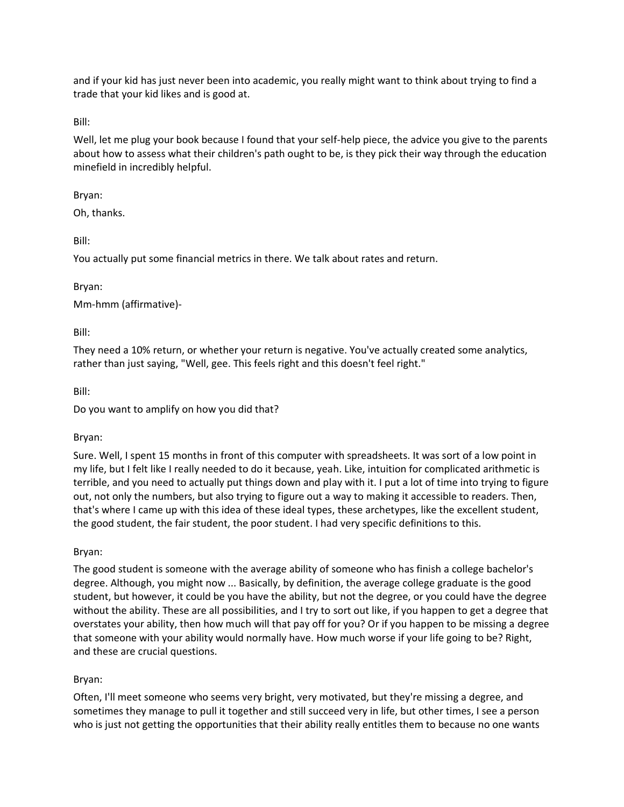and if your kid has just never been into academic, you really might want to think about trying to find a trade that your kid likes and is good at.

Bill:

Well, let me plug your book because I found that your self-help piece, the advice you give to the parents about how to assess what their children's path ought to be, is they pick their way through the education minefield in incredibly helpful.

### Bryan:

Oh, thanks.

Bill:

You actually put some financial metrics in there. We talk about rates and return.

Bryan:

Mm-hmm (affirmative)-

Bill:

They need a 10% return, or whether your return is negative. You've actually created some analytics, rather than just saying, "Well, gee. This feels right and this doesn't feel right."

Bill:

Do you want to amplify on how you did that?

# Bryan:

Sure. Well, I spent 15 months in front of this computer with spreadsheets. It was sort of a low point in my life, but I felt like I really needed to do it because, yeah. Like, intuition for complicated arithmetic is terrible, and you need to actually put things down and play with it. I put a lot of time into trying to figure out, not only the numbers, but also trying to figure out a way to making it accessible to readers. Then, that's where I came up with this idea of these ideal types, these archetypes, like the excellent student, the good student, the fair student, the poor student. I had very specific definitions to this.

Bryan:

The good student is someone with the average ability of someone who has finish a college bachelor's degree. Although, you might now ... Basically, by definition, the average college graduate is the good student, but however, it could be you have the ability, but not the degree, or you could have the degree without the ability. These are all possibilities, and I try to sort out like, if you happen to get a degree that overstates your ability, then how much will that pay off for you? Or if you happen to be missing a degree that someone with your ability would normally have. How much worse if your life going to be? Right, and these are crucial questions.

# Bryan:

Often, I'll meet someone who seems very bright, very motivated, but they're missing a degree, and sometimes they manage to pull it together and still succeed very in life, but other times, I see a person who is just not getting the opportunities that their ability really entitles them to because no one wants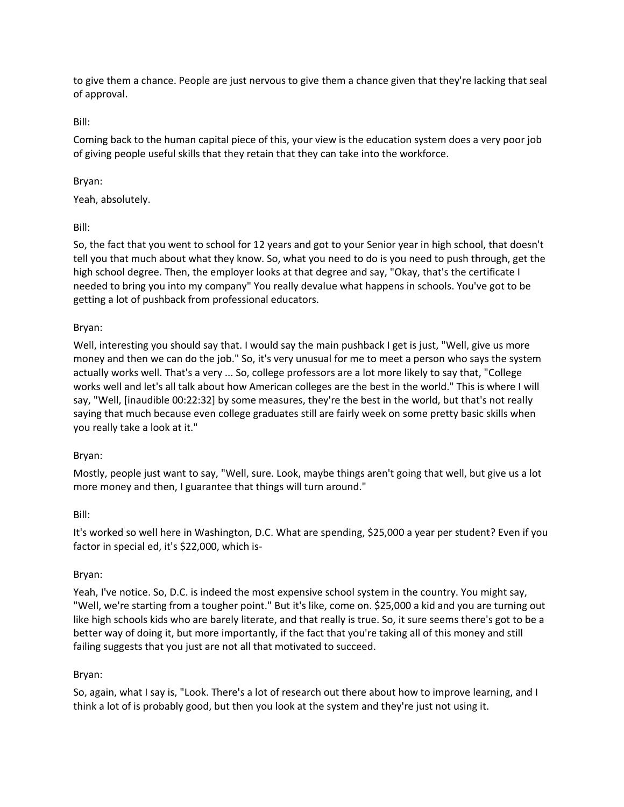to give them a chance. People are just nervous to give them a chance given that they're lacking that seal of approval.

Bill:

Coming back to the human capital piece of this, your view is the education system does a very poor job of giving people useful skills that they retain that they can take into the workforce.

# Bryan:

Yeah, absolutely.

Bill:

So, the fact that you went to school for 12 years and got to your Senior year in high school, that doesn't tell you that much about what they know. So, what you need to do is you need to push through, get the high school degree. Then, the employer looks at that degree and say, "Okay, that's the certificate I needed to bring you into my company" You really devalue what happens in schools. You've got to be getting a lot of pushback from professional educators.

### Bryan:

Well, interesting you should say that. I would say the main pushback I get is just, "Well, give us more money and then we can do the job." So, it's very unusual for me to meet a person who says the system actually works well. That's a very ... So, college professors are a lot more likely to say that, "College works well and let's all talk about how American colleges are the best in the world." This is where I will say, "Well, [inaudible 00:22:32] by some measures, they're the best in the world, but that's not really saying that much because even college graduates still are fairly week on some pretty basic skills when you really take a look at it."

### Bryan:

Mostly, people just want to say, "Well, sure. Look, maybe things aren't going that well, but give us a lot more money and then, I guarantee that things will turn around."

### Bill:

It's worked so well here in Washington, D.C. What are spending, \$25,000 a year per student? Even if you factor in special ed, it's \$22,000, which is-

### Bryan:

Yeah, I've notice. So, D.C. is indeed the most expensive school system in the country. You might say, "Well, we're starting from a tougher point." But it's like, come on. \$25,000 a kid and you are turning out like high schools kids who are barely literate, and that really is true. So, it sure seems there's got to be a better way of doing it, but more importantly, if the fact that you're taking all of this money and still failing suggests that you just are not all that motivated to succeed.

# Bryan:

So, again, what I say is, "Look. There's a lot of research out there about how to improve learning, and I think a lot of is probably good, but then you look at the system and they're just not using it.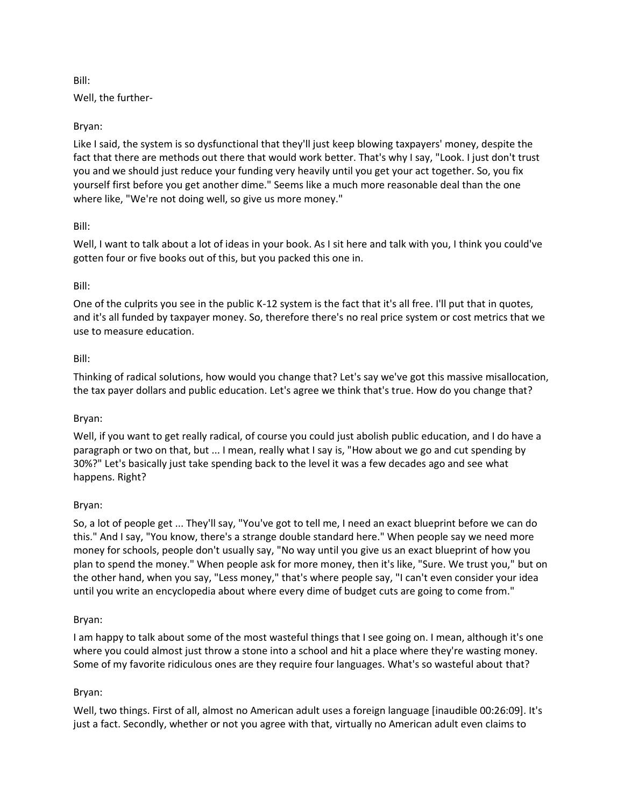Well, the further-

## Bryan:

Like I said, the system is so dysfunctional that they'll just keep blowing taxpayers' money, despite the fact that there are methods out there that would work better. That's why I say, "Look. I just don't trust you and we should just reduce your funding very heavily until you get your act together. So, you fix yourself first before you get another dime." Seems like a much more reasonable deal than the one where like, "We're not doing well, so give us more money."

## Bill:

Well, I want to talk about a lot of ideas in your book. As I sit here and talk with you, I think you could've gotten four or five books out of this, but you packed this one in.

## Bill:

One of the culprits you see in the public K-12 system is the fact that it's all free. I'll put that in quotes, and it's all funded by taxpayer money. So, therefore there's no real price system or cost metrics that we use to measure education.

## Bill:

Thinking of radical solutions, how would you change that? Let's say we've got this massive misallocation, the tax payer dollars and public education. Let's agree we think that's true. How do you change that?

### Bryan:

Well, if you want to get really radical, of course you could just abolish public education, and I do have a paragraph or two on that, but ... I mean, really what I say is, "How about we go and cut spending by 30%?" Let's basically just take spending back to the level it was a few decades ago and see what happens. Right?

### Bryan:

So, a lot of people get ... They'll say, "You've got to tell me, I need an exact blueprint before we can do this." And I say, "You know, there's a strange double standard here." When people say we need more money for schools, people don't usually say, "No way until you give us an exact blueprint of how you plan to spend the money." When people ask for more money, then it's like, "Sure. We trust you," but on the other hand, when you say, "Less money," that's where people say, "I can't even consider your idea until you write an encyclopedia about where every dime of budget cuts are going to come from."

### Bryan:

I am happy to talk about some of the most wasteful things that I see going on. I mean, although it's one where you could almost just throw a stone into a school and hit a place where they're wasting money. Some of my favorite ridiculous ones are they require four languages. What's so wasteful about that?

### Bryan:

Well, two things. First of all, almost no American adult uses a foreign language [inaudible 00:26:09]. It's just a fact. Secondly, whether or not you agree with that, virtually no American adult even claims to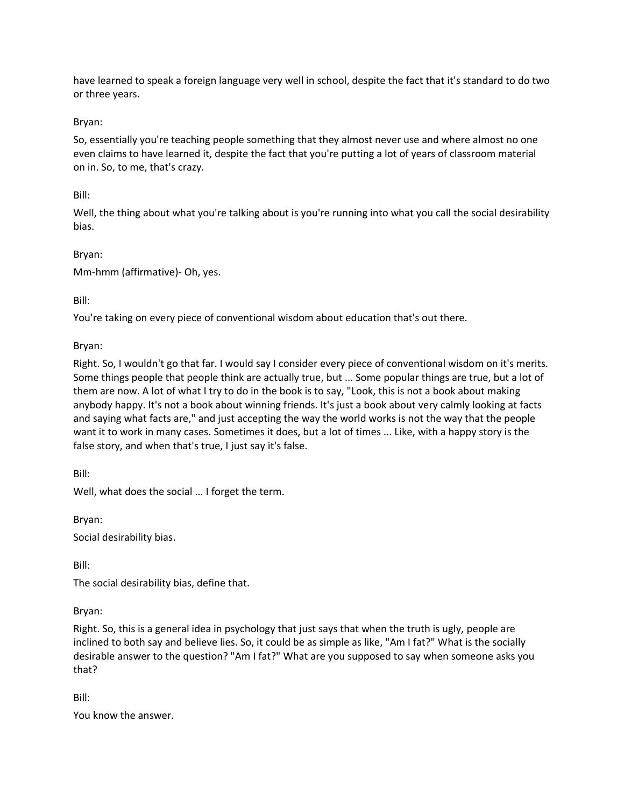have learned to speak a foreign language very well in school, despite the fact that it's standard to do two or three years.

## Bryan:

So, essentially you're teaching people something that they almost never use and where almost no one even claims to have learned it, despite the fact that you're putting a lot of years of classroom material on in. So, to me, that's crazy.

### Bill:

Well, the thing about what you're talking about is you're running into what you call the social desirability bias.

### Bryan:

Mm-hmm (affirmative)- Oh, yes.

## Bill:

You're taking on every piece of conventional wisdom about education that's out there.

Bryan:

Right. So, I wouldn't go that far. I would say I consider every piece of conventional wisdom on it's merits. Some things people that people think are actually true, but ... Some popular things are true, but a lot of them are now. A lot of what I try to do in the book is to say, "Look, this is not a book about making anybody happy. It's not a book about winning friends. It's just a book about very calmly looking at facts and saying what facts are," and just accepting the way the world works is not the way that the people want it to work in many cases. Sometimes it does, but a lot of times ... Like, with a happy story is the false story, and when that's true, I just say it's false.

Bill:

Well, what does the social ... I forget the term.

Bryan:

Social desirability bias.

Bill:

The social desirability bias, define that.

Bryan:

Right. So, this is a general idea in psychology that just says that when the truth is ugly, people are inclined to both say and believe lies. So, it could be as simple as like, "Am I fat?" What is the socially desirable answer to the question? "Am I fat?" What are you supposed to say when someone asks you that?

Bill:

You know the answer.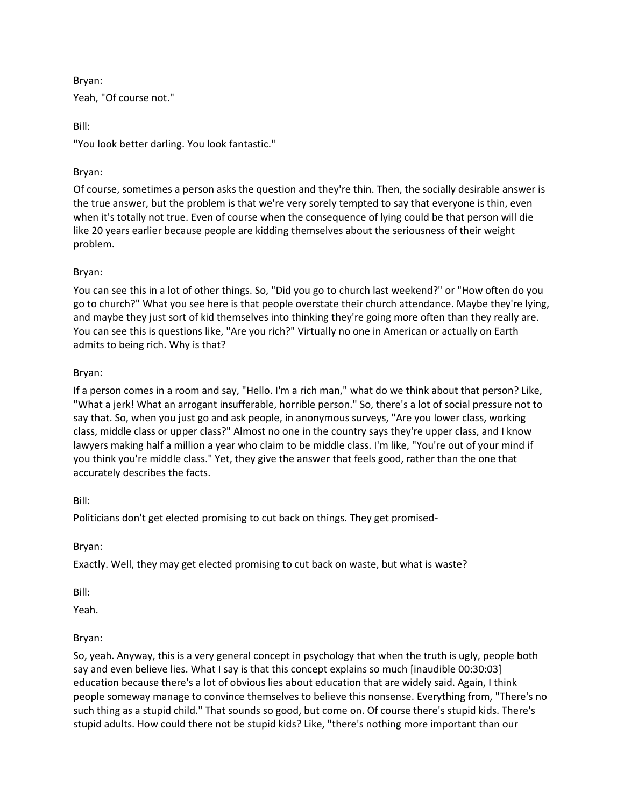Bryan: Yeah, "Of course not."

Bill:

"You look better darling. You look fantastic."

# Bryan:

Of course, sometimes a person asks the question and they're thin. Then, the socially desirable answer is the true answer, but the problem is that we're very sorely tempted to say that everyone is thin, even when it's totally not true. Even of course when the consequence of lying could be that person will die like 20 years earlier because people are kidding themselves about the seriousness of their weight problem.

## Bryan:

You can see this in a lot of other things. So, "Did you go to church last weekend?" or "How often do you go to church?" What you see here is that people overstate their church attendance. Maybe they're lying, and maybe they just sort of kid themselves into thinking they're going more often than they really are. You can see this is questions like, "Are you rich?" Virtually no one in American or actually on Earth admits to being rich. Why is that?

## Bryan:

If a person comes in a room and say, "Hello. I'm a rich man," what do we think about that person? Like, "What a jerk! What an arrogant insufferable, horrible person." So, there's a lot of social pressure not to say that. So, when you just go and ask people, in anonymous surveys, "Are you lower class, working class, middle class or upper class?" Almost no one in the country says they're upper class, and I know lawyers making half a million a year who claim to be middle class. I'm like, "You're out of your mind if you think you're middle class." Yet, they give the answer that feels good, rather than the one that accurately describes the facts.

### Bill:

Politicians don't get elected promising to cut back on things. They get promised-

Bryan:

Exactly. Well, they may get elected promising to cut back on waste, but what is waste?

Bill:

Yeah.

# Bryan:

So, yeah. Anyway, this is a very general concept in psychology that when the truth is ugly, people both say and even believe lies. What I say is that this concept explains so much [inaudible 00:30:03] education because there's a lot of obvious lies about education that are widely said. Again, I think people someway manage to convince themselves to believe this nonsense. Everything from, "There's no such thing as a stupid child." That sounds so good, but come on. Of course there's stupid kids. There's stupid adults. How could there not be stupid kids? Like, "there's nothing more important than our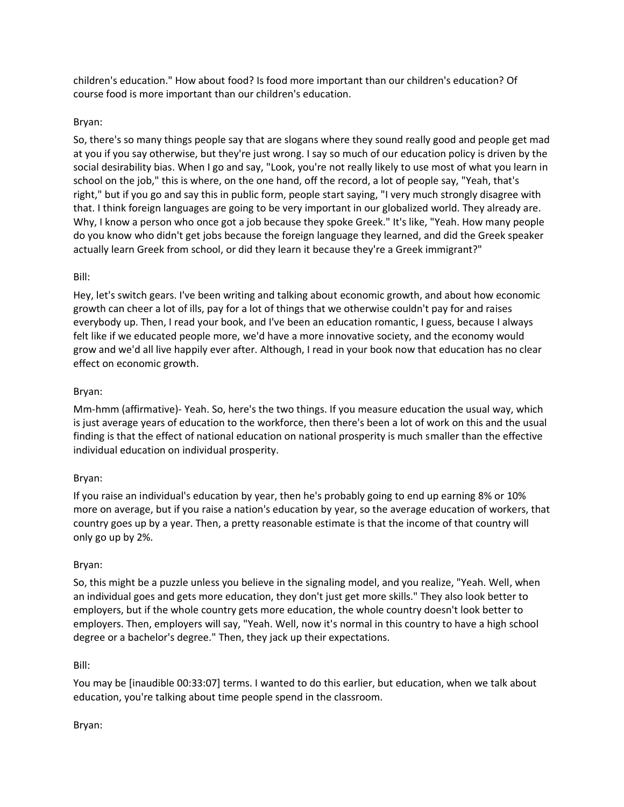children's education." How about food? Is food more important than our children's education? Of course food is more important than our children's education.

## Bryan:

So, there's so many things people say that are slogans where they sound really good and people get mad at you if you say otherwise, but they're just wrong. I say so much of our education policy is driven by the social desirability bias. When I go and say, "Look, you're not really likely to use most of what you learn in school on the job," this is where, on the one hand, off the record, a lot of people say, "Yeah, that's right," but if you go and say this in public form, people start saying, "I very much strongly disagree with that. I think foreign languages are going to be very important in our globalized world. They already are. Why, I know a person who once got a job because they spoke Greek." It's like, "Yeah. How many people do you know who didn't get jobs because the foreign language they learned, and did the Greek speaker actually learn Greek from school, or did they learn it because they're a Greek immigrant?"

## Bill:

Hey, let's switch gears. I've been writing and talking about economic growth, and about how economic growth can cheer a lot of ills, pay for a lot of things that we otherwise couldn't pay for and raises everybody up. Then, I read your book, and I've been an education romantic, I guess, because I always felt like if we educated people more, we'd have a more innovative society, and the economy would grow and we'd all live happily ever after. Although, I read in your book now that education has no clear effect on economic growth.

## Bryan:

Mm-hmm (affirmative)- Yeah. So, here's the two things. If you measure education the usual way, which is just average years of education to the workforce, then there's been a lot of work on this and the usual finding is that the effect of national education on national prosperity is much smaller than the effective individual education on individual prosperity.

# Bryan:

If you raise an individual's education by year, then he's probably going to end up earning 8% or 10% more on average, but if you raise a nation's education by year, so the average education of workers, that country goes up by a year. Then, a pretty reasonable estimate is that the income of that country will only go up by 2%.

### Bryan:

So, this might be a puzzle unless you believe in the signaling model, and you realize, "Yeah. Well, when an individual goes and gets more education, they don't just get more skills." They also look better to employers, but if the whole country gets more education, the whole country doesn't look better to employers. Then, employers will say, "Yeah. Well, now it's normal in this country to have a high school degree or a bachelor's degree." Then, they jack up their expectations.

### Bill:

You may be [inaudible 00:33:07] terms. I wanted to do this earlier, but education, when we talk about education, you're talking about time people spend in the classroom.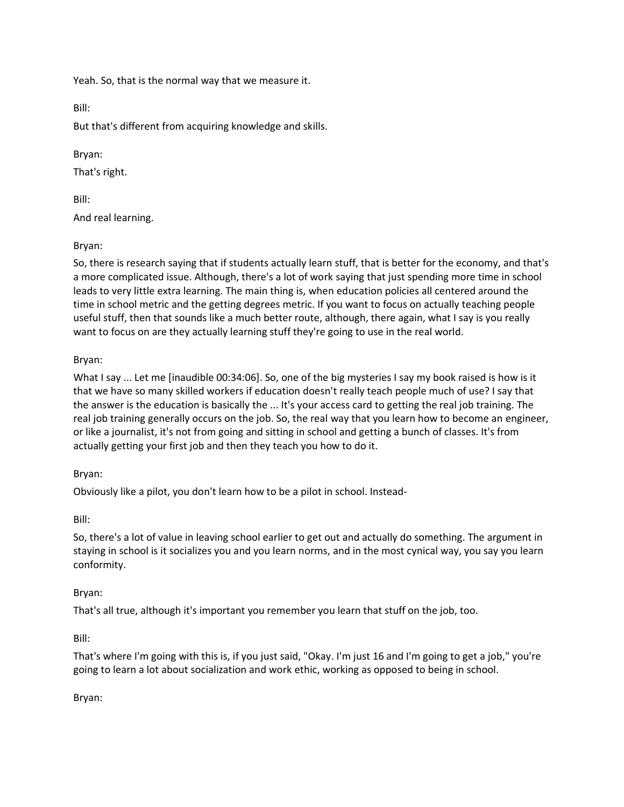Yeah. So, that is the normal way that we measure it.

Bill:

But that's different from acquiring knowledge and skills.

## Bryan:

That's right.

Bill:

And real learning.

# Bryan:

So, there is research saying that if students actually learn stuff, that is better for the economy, and that's a more complicated issue. Although, there's a lot of work saying that just spending more time in school leads to very little extra learning. The main thing is, when education policies all centered around the time in school metric and the getting degrees metric. If you want to focus on actually teaching people useful stuff, then that sounds like a much better route, although, there again, what I say is you really want to focus on are they actually learning stuff they're going to use in the real world.

# Bryan:

What I say ... Let me [inaudible 00:34:06]. So, one of the big mysteries I say my book raised is how is it that we have so many skilled workers if education doesn't really teach people much of use? I say that the answer is the education is basically the ... It's your access card to getting the real job training. The real job training generally occurs on the job. So, the real way that you learn how to become an engineer, or like a journalist, it's not from going and sitting in school and getting a bunch of classes. It's from actually getting your first job and then they teach you how to do it.

# Bryan:

Obviously like a pilot, you don't learn how to be a pilot in school. Instead-

### Bill:

So, there's a lot of value in leaving school earlier to get out and actually do something. The argument in staying in school is it socializes you and you learn norms, and in the most cynical way, you say you learn conformity.

# Bryan:

That's all true, although it's important you remember you learn that stuff on the job, too.

### Bill:

That's where I'm going with this is, if you just said, "Okay. I'm just 16 and I'm going to get a job," you're going to learn a lot about socialization and work ethic, working as opposed to being in school.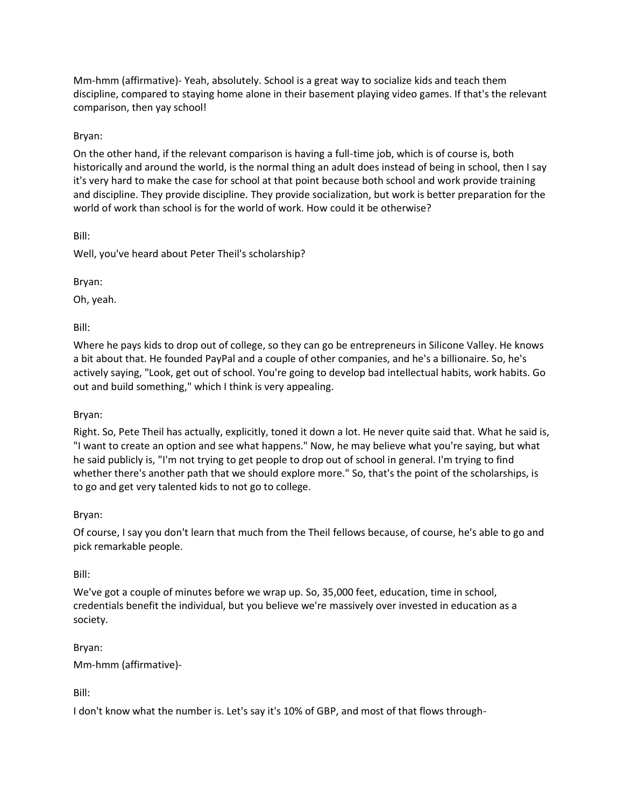Mm-hmm (affirmative)- Yeah, absolutely. School is a great way to socialize kids and teach them discipline, compared to staying home alone in their basement playing video games. If that's the relevant comparison, then yay school!

## Bryan:

On the other hand, if the relevant comparison is having a full-time job, which is of course is, both historically and around the world, is the normal thing an adult does instead of being in school, then I say it's very hard to make the case for school at that point because both school and work provide training and discipline. They provide discipline. They provide socialization, but work is better preparation for the world of work than school is for the world of work. How could it be otherwise?

Bill:

Well, you've heard about Peter Theil's scholarship?

Bryan:

Oh, yeah.

Bill:

Where he pays kids to drop out of college, so they can go be entrepreneurs in Silicone Valley. He knows a bit about that. He founded PayPal and a couple of other companies, and he's a billionaire. So, he's actively saying, "Look, get out of school. You're going to develop bad intellectual habits, work habits. Go out and build something," which I think is very appealing.

### Bryan:

Right. So, Pete Theil has actually, explicitly, toned it down a lot. He never quite said that. What he said is, "I want to create an option and see what happens." Now, he may believe what you're saying, but what he said publicly is, "I'm not trying to get people to drop out of school in general. I'm trying to find whether there's another path that we should explore more." So, that's the point of the scholarships, is to go and get very talented kids to not go to college.

### Bryan:

Of course, I say you don't learn that much from the Theil fellows because, of course, he's able to go and pick remarkable people.

### Bill:

We've got a couple of minutes before we wrap up. So, 35,000 feet, education, time in school, credentials benefit the individual, but you believe we're massively over invested in education as a society.

Bryan:

Mm-hmm (affirmative)-

Bill:

I don't know what the number is. Let's say it's 10% of GBP, and most of that flows through-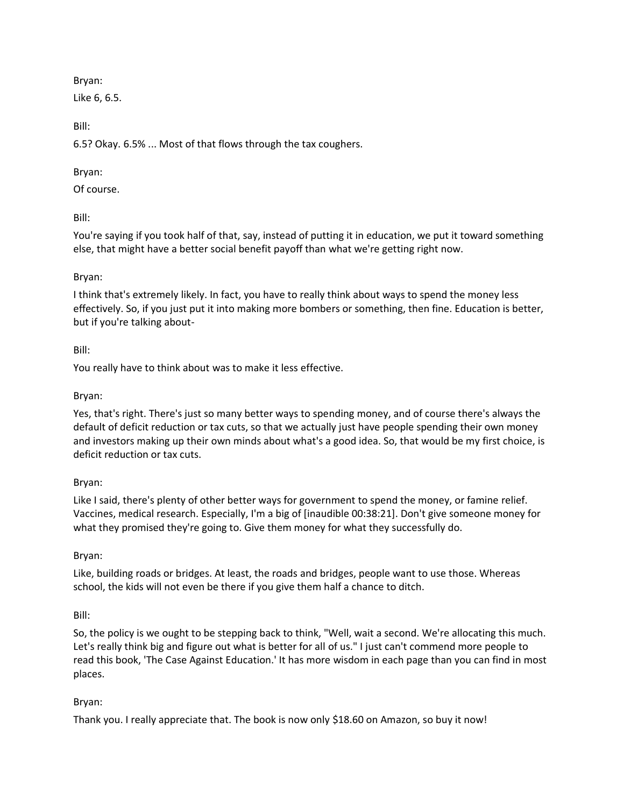Bryan:

Like 6, 6.5.

Bill:

6.5? Okay. 6.5% ... Most of that flows through the tax coughers.

## Bryan:

Of course.

Bill:

You're saying if you took half of that, say, instead of putting it in education, we put it toward something else, that might have a better social benefit payoff than what we're getting right now.

## Bryan:

I think that's extremely likely. In fact, you have to really think about ways to spend the money less effectively. So, if you just put it into making more bombers or something, then fine. Education is better, but if you're talking about-

### Bill:

You really have to think about was to make it less effective.

### Bryan:

Yes, that's right. There's just so many better ways to spending money, and of course there's always the default of deficit reduction or tax cuts, so that we actually just have people spending their own money and investors making up their own minds about what's a good idea. So, that would be my first choice, is deficit reduction or tax cuts.

### Bryan:

Like I said, there's plenty of other better ways for government to spend the money, or famine relief. Vaccines, medical research. Especially, I'm a big of [inaudible 00:38:21]. Don't give someone money for what they promised they're going to. Give them money for what they successfully do.

### Bryan:

Like, building roads or bridges. At least, the roads and bridges, people want to use those. Whereas school, the kids will not even be there if you give them half a chance to ditch.

Bill:

So, the policy is we ought to be stepping back to think, "Well, wait a second. We're allocating this much. Let's really think big and figure out what is better for all of us." I just can't commend more people to read this book, 'The Case Against Education.' It has more wisdom in each page than you can find in most places.

# Bryan:

Thank you. I really appreciate that. The book is now only \$18.60 on Amazon, so buy it now!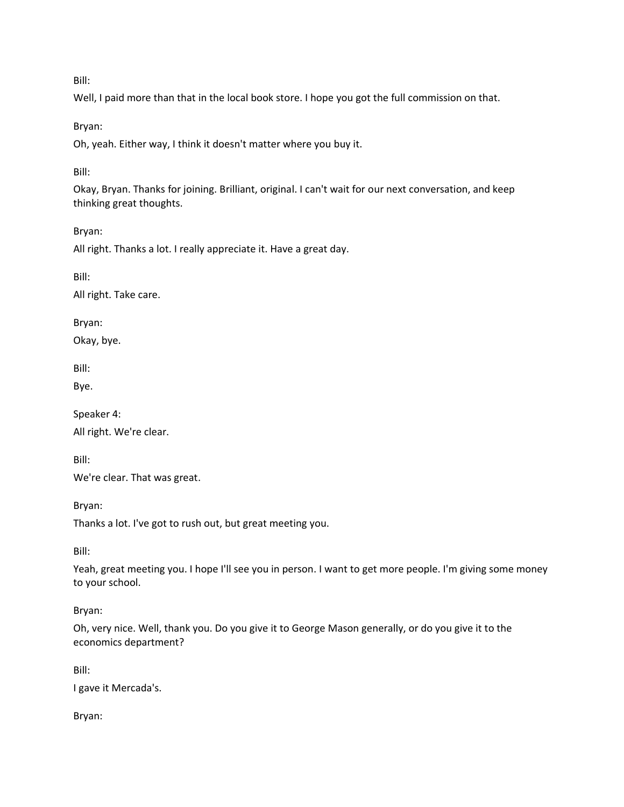Well, I paid more than that in the local book store. I hope you got the full commission on that.

Bryan:

Oh, yeah. Either way, I think it doesn't matter where you buy it.

Bill:

Okay, Bryan. Thanks for joining. Brilliant, original. I can't wait for our next conversation, and keep thinking great thoughts.

Bryan:

All right. Thanks a lot. I really appreciate it. Have a great day.

Bill:

All right. Take care.

Bryan:

Okay, bye.

Bill:

Bye.

Speaker 4:

All right. We're clear.

Bill:

We're clear. That was great.

Bryan:

Thanks a lot. I've got to rush out, but great meeting you.

Bill:

Yeah, great meeting you. I hope I'll see you in person. I want to get more people. I'm giving some money to your school.

Bryan:

Oh, very nice. Well, thank you. Do you give it to George Mason generally, or do you give it to the economics department?

Bill:

I gave it Mercada's.